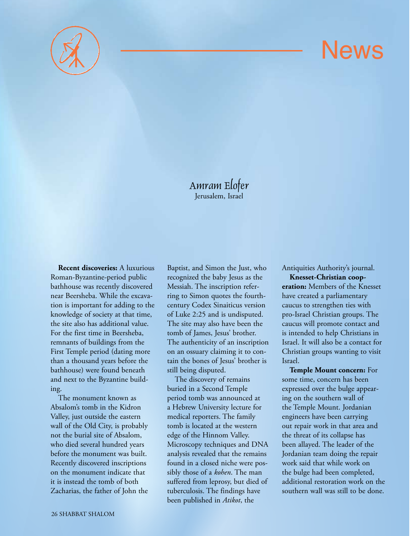

## **News**

Amram Elofer Jerusalem, Israel

**Recent discoveries:** A luxurious Roman-Byzantine-period public bathhouse was recently discovered near Beersheba. While the excavation is important for adding to the knowledge of society at that time, the site also has additional value. For the first time in Beersheba, remnants of buildings from the First Temple period (dating more than a thousand years before the bathhouse) were found beneath and next to the Byzantine building.

The monument known as Absalom's tomb in the Kidron Valley, just outside the eastern wall of the Old City, is probably not the burial site of Absalom, who died several hundred years before the monument was built. Recently discovered inscriptions on the monument indicate that it is instead the tomb of both Zacharias, the father of John the

Baptist, and Simon the Just, who recognized the baby Jesus as the Messiah. The inscription referring to Simon quotes the fourthcentury Codex Sinaiticus version of Luke 2:25 and is undisputed. The site may also have been the tomb of James, Jesus' brother. The authenticity of an inscription on an ossuary claiming it to contain the bones of Jesus' brother is still being disputed.

The discovery of remains buried in a Second Temple period tomb was announced at a Hebrew University lecture for medical reporters. The family tomb is located at the western edge of the Hinnom Valley. Microscopy techniques and DNA analysis revealed that the remains found in a closed niche were possibly those of a *kohen*. The man suffered from leprosy, but died of tuberculosis. The findings have been published in *Atikot*, the

Antiquities Authority's journal.

**Knesset-Christian cooperation:** Members of the Knesset have created a parliamentary caucus to strengthen ties with pro-Israel Christian groups. The caucus will promote contact and is intended to help Christians in Israel. It will also be a contact for Christian groups wanting to visit Israel.

**Temple Mount concern:** For some time, concern has been expressed over the bulge appearing on the southern wall of the Temple Mount. Jordanian engineers have been carrying out repair work in that area and the threat of its collapse has been allayed. The leader of the Jordanian team doing the repair work said that while work on the bulge had been completed, additional restoration work on the southern wall was still to be done.